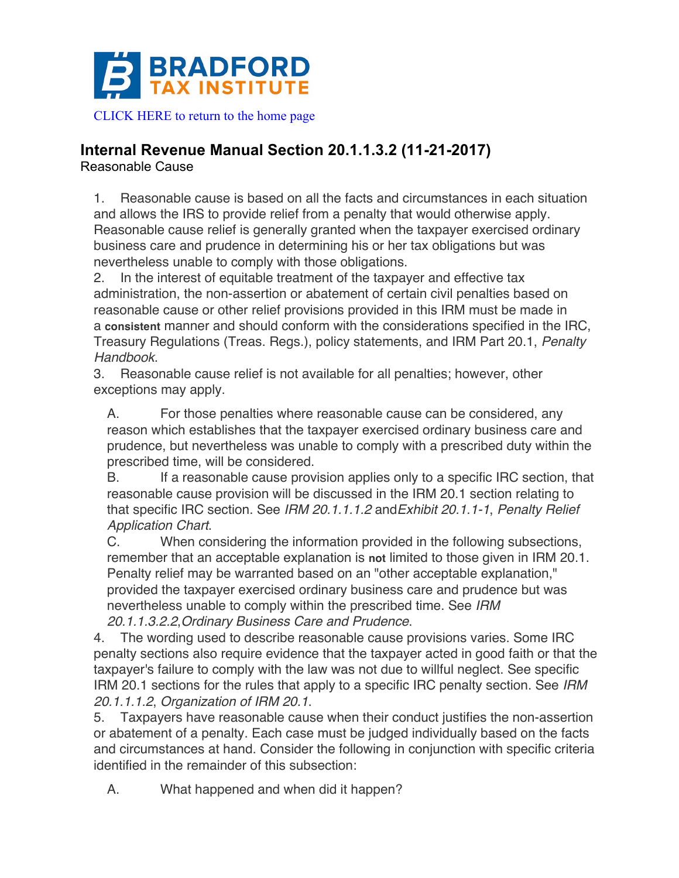

## **Internal Revenue Manual Section 20.1.1.3.2 (11-21-2017)**

Reasonable Cause

1. Reasonable cause is based on all the facts and circumstances in each situation and allows the IRS to provide relief from a penalty that would otherwise apply. Reasonable cause relief is generally granted when the taxpayer exercised ordinary business care and prudence in determining his or her tax obligations but was nevertheless unable to comply with those obligations.

2. In the interest of equitable treatment of the taxpayer and effective tax administration, the non-assertion or abatement of certain civil penalties based on reasonable cause or other relief provisions provided in this IRM must be made in a **consistent** manner and should conform with the considerations specified in the IRC, Treasury Regulations (Treas. Regs.), policy statements, and IRM Part 20.1, *Penalty Handbook*.

3. Reasonable cause relief is not available for all penalties; however, other exceptions may apply.

A. For those penalties where reasonable cause can be considered, any reason which establishes that the taxpayer exercised ordinary business care and prudence, but nevertheless was unable to comply with a prescribed duty within the prescribed time, will be considered.

B. If a reasonable cause provision applies only to a specific IRC section, that reasonable cause provision will be discussed in the IRM 20.1 section relating to that specific IRC section. See *IRM 20.1.1.1.2* and*Exhibit 20.1.1-1*, *Penalty Relief Application Chart*.

C. When considering the information provided in the following subsections, remember that an acceptable explanation is **not** limited to those given in IRM 20.1. Penalty relief may be warranted based on an "other acceptable explanation," provided the taxpayer exercised ordinary business care and prudence but was nevertheless unable to comply within the prescribed time. See *IRM 20.1.1.3.2.2*,*Ordinary Business Care and Prudence*.

4. The wording used to describe reasonable cause provisions varies. Some IRC penalty sections also require evidence that the taxpayer acted in good faith or that the taxpayer's failure to comply with the law was not due to willful neglect. See specific IRM 20.1 sections for the rules that apply to a specific IRC penalty section. See *IRM 20.1.1.1.2*, *Organization of IRM 20.1*.

5. Taxpayers have reasonable cause when their conduct justifies the non-assertion or abatement of a penalty. Each case must be judged individually based on the facts and circumstances at hand. Consider the following in conjunction with specific criteria identified in the remainder of this subsection:

A. What happened and when did it happen?